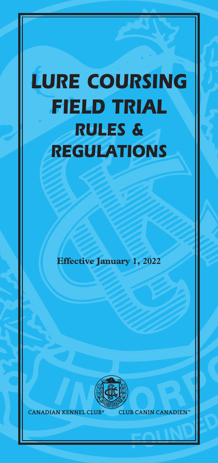# *LURE COURSING FIELD TRIAL RULES & REGULATIONS*

**Effective January 1, 2022**



**CANADIAN KENNEL CLUB** 

**CLUB CANIN CANADIEN**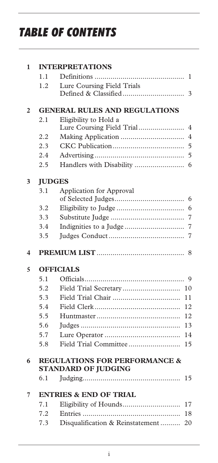# *TABLE OF CONTENTS*

| 1              |                                          | <b>INTERPRETATIONS</b>               |                |  |
|----------------|------------------------------------------|--------------------------------------|----------------|--|
|                | 1.1                                      |                                      | 1              |  |
|                | 1.2                                      | Lure Coursing Field Trials           |                |  |
|                |                                          |                                      | 3              |  |
| $\overline{2}$ |                                          | <b>GENERAL RULES AND REGULATIONS</b> |                |  |
|                | 2.1                                      | Eligibility to Hold a                |                |  |
|                |                                          | Lure Coursing Field Trial            | 4              |  |
|                | 2.2                                      |                                      | $\overline{4}$ |  |
|                | 2.3                                      |                                      | 5              |  |
|                | 2.4                                      |                                      | 5              |  |
|                | 2.5                                      | Handlers with Disability             | 6              |  |
| 3              |                                          | <b>JUDGES</b>                        |                |  |
|                | 3.1                                      | Application for Approval             |                |  |
|                |                                          |                                      | 6              |  |
|                | 3.2                                      |                                      | 6              |  |
|                | 3.3                                      |                                      | 7              |  |
|                | 3.4                                      | Indignities to a Judge               | 7              |  |
|                | 3.5                                      |                                      | 7              |  |
| 4              |                                          |                                      | 8              |  |
| 5              |                                          | <b>OFFICIALS</b>                     |                |  |
|                | 5.1                                      |                                      | 9              |  |
|                | 5.2                                      | Field Trial Secretary                | 10             |  |
|                | 5.3                                      |                                      | 11             |  |
|                | 5.4                                      |                                      | 12             |  |
|                | 5.5                                      |                                      | 12             |  |
|                | 5.6                                      |                                      | 13             |  |
|                | 5.7                                      |                                      | 14             |  |
|                | 5.8                                      | Field Trial Committee                | 15             |  |
| 6              | <b>REGULATIONS FOR PERFORMANCE &amp;</b> |                                      |                |  |
|                |                                          | <b>STANDARD OF JUDGING</b>           |                |  |
|                | 6.1                                      |                                      | 15             |  |
| 7              |                                          | <b>ENTRIES &amp; END OF TRIAL</b>    |                |  |
|                |                                          |                                      | 17             |  |
|                | 7.1                                      |                                      |                |  |
|                | 7.2                                      | Disqualification & Reinstatement     | 18             |  |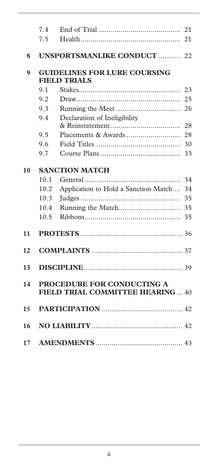|    | 7.4                                 |                                      | 21 |  |
|----|-------------------------------------|--------------------------------------|----|--|
|    | 7.5                                 |                                      | 21 |  |
|    |                                     |                                      |    |  |
| 8  |                                     | <b>UNSPORTSMANLIKE CONDUCT  22</b>   |    |  |
| 9  | <b>GUIDELINES FOR LURE COURSING</b> |                                      |    |  |
|    |                                     | <b>FIELD TRIALS</b>                  |    |  |
|    | 9.1                                 |                                      | 23 |  |
|    | 9.2                                 |                                      | 25 |  |
|    | 9.3                                 |                                      | 26 |  |
|    | 9.4                                 | Declaration of Ineligibility         |    |  |
|    |                                     |                                      | 28 |  |
|    | 9.5                                 |                                      | 28 |  |
|    | 9.6                                 |                                      | 30 |  |
|    | 9.7                                 |                                      | 33 |  |
| 10 | <b>SANCTION MATCH</b>               |                                      |    |  |
|    | 10.1                                |                                      | 34 |  |
|    | 10.2                                | Application to Hold a Sanction Match | 34 |  |
|    | 10.3                                |                                      | 35 |  |
|    | 10.4                                |                                      |    |  |
|    | 10.5                                |                                      | 35 |  |
| 11 |                                     |                                      |    |  |
|    |                                     |                                      |    |  |
| 12 |                                     |                                      |    |  |
| 13 |                                     |                                      |    |  |
| 14 |                                     | <b>PROCEDURE FOR CONDUCTING A</b>    |    |  |
|    |                                     | FIELD TRIAL COMMITTEE HEARING 40     |    |  |
| 15 |                                     |                                      |    |  |
| 16 |                                     |                                      |    |  |
| 17 |                                     |                                      |    |  |
|    |                                     |                                      |    |  |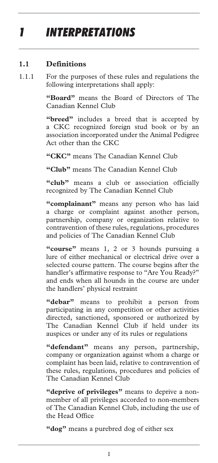# *1 INTERPRETATIONS*

### **1.1 Definitions**

1.1.1 For the purposes of these rules and regulations the following interpretations shall apply:

> **"Board"** means the Board of Directors of The Canadian Kennel Club

> "breed" includes a breed that is accepted by a CKC recognized foreign stud book or by an association incorporated under the Animal Pedigree Act other than the CKC

**"CKC"** means The Canadian Kennel Club

**"Club"** means The Canadian Kennel Club

**"club"** means a club or association officially recognized by The Canadian Kennel Club

**"complainant"** means any person who has laid a charge or complaint against another person, partnership, company or organization relative to contravention of these rules, regulations, procedures and policies of The Canadian Kennel Club

**"course"** means 1, 2 or 3 hounds pursuing a lure of either mechanical or electrical drive over a selected course pattern. The course begins after the handler's affirmative response to "Are You Ready?" and ends when all hounds in the course are under the handlers' physical restraint

**"debar"** means to prohibit a person from participating in any competition or other activities directed, sanctioned, sponsored or authorized by The Canadian Kennel Club if held under its auspices or under any of its rules or regulations

**"defendant"** means any person, partnership, company or organization against whom a charge or complaint has been laid, relative to contravention of these rules, regulations, procedures and policies of The Canadian Kennel Club

**"deprive of privileges"** means to deprive a nonmember of all privileges accorded to non-members of The Canadian Kennel Club, including the use of the Head Office

**"dog"** means a purebred dog of either sex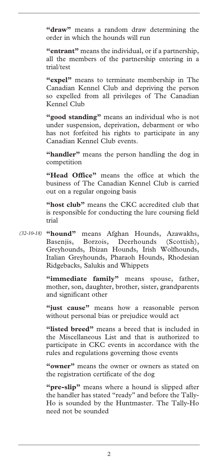**"draw"** means a random draw determining the order in which the hounds will run

**"entrant"** means the individual, or if a partnership, all the members of the partnership entering in a trial/test

**"expel"** means to terminate membership in The Canadian Kennel Club and depriving the person so expelled from all privileges of The Canadian Kennel Club

**"good standing"** means an individual who is not under suspension, deprivation, debarment or who has not forfeited his rights to participate in any Canadian Kennel Club events.

**"handler"** means the person handling the dog in competition

**"Head Office"** means the office at which the business of The Canadian Kennel Club is carried out on a regular ongoing basis

**"host club"** means the CKC accredited club that is responsible for conducting the lure coursing field trial

**"hound"** means Afghan Hounds, Azawakhs, *(32-10-18)* Basenjis, Borzois, Deerhounds (Scottish), Greyhounds, Ibizan Hounds, Irish Wolfhounds, Italian Greyhounds, Pharaoh Hounds, Rhodesian Ridgebacks, Salukis and Whippets

> **"immediate family"** means spouse, father, mother, son, daughter, brother, sister, grandparents and significant other

> **"just cause"** means how a reasonable person without personal bias or prejudice would act

> **"listed breed"** means a breed that is included in the Miscellaneous List and that is authorized to participate in CKC events in accordance with the rules and regulations governing those events

> **"owner"** means the owner or owners as stated on the registration certificate of the dog

> **"pre-slip"** means where a hound is slipped after the handler has stated "ready" and before the Tally-Ho is sounded by the Huntmaster. The Tally-Ho need not be sounded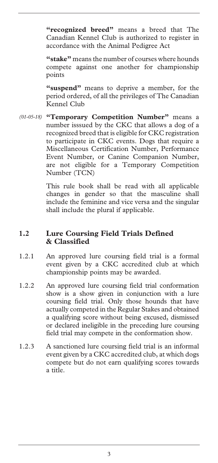**"recognized breed"** means a breed that The Canadian Kennel Club is authorized to register in accordance with the Animal Pedigree Act

**"stake"** means the number of courses where hounds compete against one another for championship points

**"suspend"** means to deprive a member, for the period ordered, of all the privileges of The Canadian Kennel Club

**"Temporary Competition Number"** means a *(01-05-18)* number isssued by the CKC that allows a dog of a recognized breed that is eligible for CKC registration to participate in CKC events. Dogs that require a Miscellaneous Certification Number, Performance Event Number, or Canine Companion Number, are not eligible for a Temporary Competition Number (TCN)

> This rule book shall be read with all applicable changes in gender so that the masculine shall include the feminine and vice versa and the singular shall include the plural if applicable.

### **1.2 Lure Coursing Field Trials Defined & Classified**

- 1.2.1 An approved lure coursing field trial is a formal event given by a CKC accredited club at which championship points may be awarded.
- 1.2.2 An approved lure coursing field trial conformation show is a show given in conjunction with a lure coursing field trial. Only those hounds that have actually competed in the Regular Stakes and obtained a qualifying score without being excused, dismissed or declared ineligible in the preceding lure coursing field trial may compete in the conformation show.
- 1.2.3 A sanctioned lure coursing field trial is an informal event given by a CKC accredited club, at which dogs compete but do not earn qualifying scores towards a title.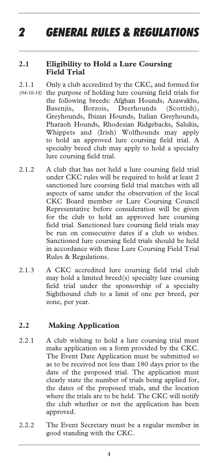# *2 GENERAL RULES & REGULATIONS*

#### **2.1 Eligibility to Hold a Lure Coursing Field Trial**

- 2.1.1 Only a club accredited by the CKC, and formed for (04-10-18) the purpose of holding lure coursing field trials for the following breeds: Afghan Hounds, Azawakhs, Basenjis, Borzois, Deerhounds (Scottish), Greyhounds, Ibizan Hounds, Italian Greyhounds, Pharaoh Hounds, Rhodesian Ridgebacks, Salukis, Whippets and (Irish) Wolfhounds may apply to hold an approved lure coursing field trial. A specialty breed club may apply to hold a specialty lure coursing field trial.
- 2.1.2 A club that has not held a lure coursing field trial under CKC rules will be required to hold at least 2 sanctioned lure coursing field trial matches with all aspects of same under the observation of the local CKC Board member or Lure Coursing Council Representative before consideration will be given for the club to hold an approved lure coursing field trial. Sanctioned lure coursing field trials may be run on consecutive dates if a club so wishes. Sanctioned lure coursing field trials should be held in accordance with these Lure Coursing Field Trial Rules & Regulations.
- 2.1.3 A CKC accredited lure coursing field trial club may hold a limited breed(s) specialty lure coursing field trial under the sponsorship of a specialty Sighthound club to a limit of one per breed, per zone, per year.

### **2.2 Making Application**

- 2.2.1 A club wishing to hold a lure coursing trial must make application on a form provided by the CKC. The Event Date Application must be submitted so as to be received not less than 180 days prior to the date of the proposed trial. The application must clearly state the number of trials being applied for, the dates of the proposed trials, and the location where the trials are to be held. The CKC will notify the club whether or not the application has been approved.
- 2.2.2 The Event Secretary must be a regular member in good standing with the CKC.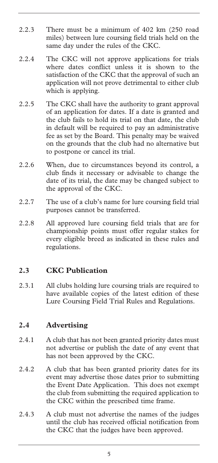- 2.2.3 There must be a minimum of 402 km (250 road miles) between lure coursing field trials held on the same day under the rules of the CKC.
- 2.2.4 The CKC will not approve applications for trials where dates conflict unless it is shown to the satisfaction of the CKC that the approval of such an application will not prove detrimental to either club which is applying.
- 2.2.5 The CKC shall have the authority to grant approval of an application for dates. If a date is granted and the club fails to hold its trial on that date, the club in default will be required to pay an administrative fee as set by the Board. This penalty may be waived on the grounds that the club had no alternative but to postpone or cancel its trial.
- 2.2.6 When, due to circumstances beyond its control, a club finds it necessary or advisable to change the date of its trial, the date may be changed subject to the approval of the CKC.
- 2.2.7 The use of a club's name for lure coursing field trial purposes cannot be transferred.
- 2.2.8 All approved lure coursing field trials that are for championship points must offer regular stakes for every eligible breed as indicated in these rules and regulations.

### **2.3 CKC Publication**

2.3.1 All clubs holding lure coursing trials are required to have available copies of the latest edition of these Lure Coursing Field Trial Rules and Regulations.

### **2.4 Advertising**

- 2.4.1 A club that has not been granted priority dates must not advertise or publish the date of any event that has not been approved by the CKC.
- 2.4.2 A club that has been granted priority dates for its event may advertise those dates prior to submitting the Event Date Application. This does not exempt the club from submitting the required application to the CKC within the prescribed time frame.
- 2.4.3 A club must not advertise the names of the judges until the club has received official notification from the CKC that the judges have been approved.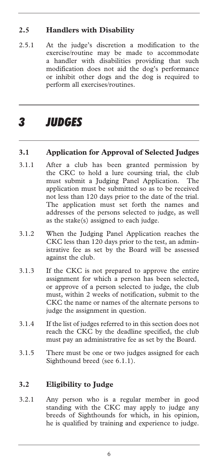### **2.5 Handlers with Disability**

2.5.1 At the judge's discretion a modification to the exercise/routine may be made to accommodate a handler with disabilities providing that such modification does not aid the dog's performance or inhibit other dogs and the dog is required to perform all exercises/routines.

# *3 JUDGES*

### **3.1 Application for Approval of Selected Judges**

- 3.1.1 After a club has been granted permission by the CKC to hold a lure coursing trial, the club must submit a Judging Panel Application. The application must be submitted so as to be received not less than 120 days prior to the date of the trial. The application must set forth the names and addresses of the persons selected to judge, as well as the stake(s) assigned to each judge.
- 3.1.2 When the Judging Panel Application reaches the CKC less than 120 days prior to the test, an administrative fee as set by the Board will be assessed against the club.
- 3.1.3 If the CKC is not prepared to approve the entire assignment for which a person has been selected, or approve of a person selected to judge, the club must, within 2 weeks of notification, submit to the CKC the name or names of the alternate persons to judge the assignment in question.
- 3.1.4 If the list of judges referred to in this section does not reach the CKC by the deadline specified, the club must pay an administrative fee as set by the Board.
- 3.1.5 There must be one or two judges assigned for each Sighthound breed (see 6.1.1).

### **3.2 Eligibility to Judge**

3.2.1 Any person who is a regular member in good standing with the CKC may apply to judge any breeds of Sighthounds for which, in his opinion, he is qualified by training and experience to judge.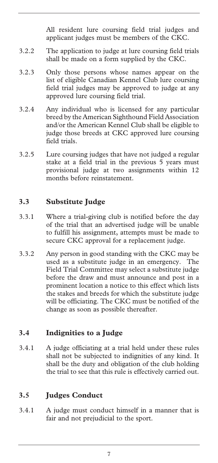All resident lure coursing field trial judges and applicant judges must be members of the CKC.

- 3.2.2 The application to judge at lure coursing field trials shall be made on a form supplied by the CKC.
- 3.2.3 Only those persons whose names appear on the list of eligible Canadian Kennel Club lure coursing field trial judges may be approved to judge at any approved lure coursing field trial.
- 3.2.4 Any individual who is licensed for any particular breed by the American Sighthound Field Association and/or the American Kennel Club shall be eligible to judge those breeds at CKC approved lure coursing field trials.
- 3.2.5 Lure coursing judges that have not judged a regular stake at a field trial in the previous 5 years must provisional judge at two assignments within 12 months before reinstatement.

### **3.3 Substitute Judge**

- 3.3.1 Where a trial-giving club is notified before the day of the trial that an advertised judge will be unable to fulfill his assignment, attempts must be made to secure CKC approval for a replacement judge.
- 3.3.2 Any person in good standing with the CKC may be used as a substitute judge in an emergency. The Field Trial Committee may select a substitute judge before the draw and must announce and post in a prominent location a notice to this effect which lists the stakes and breeds for which the substitute judge will be officiating. The CKC must be notified of the change as soon as possible thereafter.

### **3.4 Indignities to a Judge**

3.4.1 A judge officiating at a trial held under these rules shall not be subjected to indignities of any kind. It shall be the duty and obligation of the club holding the trial to see that this rule is effectively carried out.

### **3.5 Judges Conduct**

3.4.1 A judge must conduct himself in a manner that is fair and not prejudicial to the sport.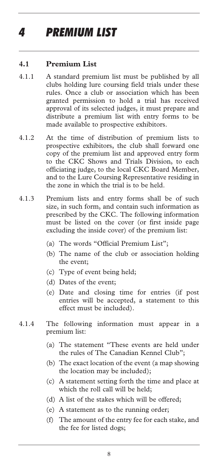# *4 PREMIUM LIST*

#### **4.1 Premium List**

- 4.1.1 A standard premium list must be published by all clubs holding lure coursing field trials under these rules. Once a club or association which has been granted permission to hold a trial has received approval of its selected judges, it must prepare and distribute a premium list with entry forms to be made available to prospective exhibitors.
- 4.1.2 At the time of distribution of premium lists to prospective exhibitors, the club shall forward one copy of the premium list and approved entry form to the CKC Shows and Trials Division, to each officiating judge, to the local CKC Board Member, and to the Lure Coursing Representative residing in the zone in which the trial is to be held.
- 4.1.3 Premium lists and entry forms shall be of such size, in such form, and contain such information as prescribed by the CKC. The following information must be listed on the cover (or first inside page excluding the inside cover) of the premium list:
	- (a) The words "Official Premium List";
	- (b) The name of the club or association holding the event;
	- (c) Type of event being held;
	- (d) Dates of the event;
	- (e) Date and closing time for entries (if post entries will be accepted, a statement to this effect must be included).
- 4.1.4 The following information must appear in a premium list:
	- (a) The statement "These events are held under the rules of The Canadian Kennel Club";
	- (b) The exact location of the event (a map showing the location may be included);
	- (c) A statement setting forth the time and place at which the roll call will be held;
	- (d) A list of the stakes which will be offered;
	- (e) A statement as to the running order;
	- (f) The amount of the entry fee for each stake, and the fee for listed dogs;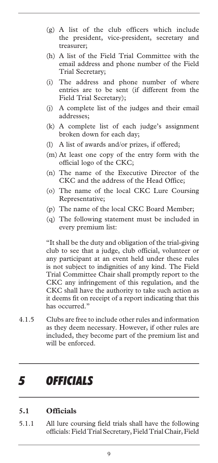- (g) A list of the club officers which include the president, vice-president, secretary and treasurer;
- (h) A list of the Field Trial Committee with the email address and phone number of the Field Trial Secretary;
- (i) The address and phone number of where entries are to be sent (if different from the Field Trial Secretary);
- (j) A complete list of the judges and their email addresses;
- (k) A complete list of each judge's assignment broken down for each day;
- (l) A list of awards and/or prizes, if offered;
- (m) At least one copy of the entry form with the official logo of the CKC;
- (n) The name of the Executive Director of the CKC and the address of the Head Office;
- (o) The name of the local CKC Lure Coursing Representative;
- (p) The name of the local CKC Board Member;
- (q) The following statement must be included in every premium list:

"It shall be the duty and obligation of the trial-giving club to see that a judge, club official, volunteer or any participant at an event held under these rules is not subject to indignities of any kind. The Field Trial Committee Chair shall promptly report to the CKC any infringement of this regulation, and the CKC shall have the authority to take such action as it deems fit on receipt of a report indicating that this has occurred."

4.1.5 Clubs are free to include other rules and information as they deem necessary. However, if other rules are included, they become part of the premium list and will be enforced.

### *5 OFFICIALS*

#### **5.1 Officials**

5.1.1 All lure coursing field trials shall have the following officials: Field Trial Secretary, Field Trial Chair, Field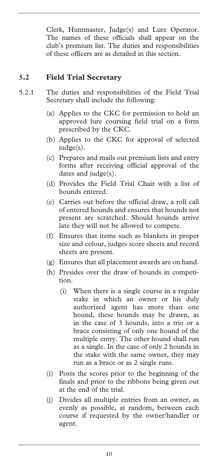Clerk, Huntmaster, Judge(s) and Lure Operator. The names of these officials shall appear on the club's premium list. The duties and responsibilities of these officers are as detailed in this section.

### **5.2 Field Trial Secretary**

- 5.2.1 The duties and responsibilities of the Field Trial Secretary shall include the following:
	- (a) Applies to the CKC for permission to hold an approved lure coursing field trial on a form prescribed by the CKC.
	- (b) Applies to the CKC for approval of selected judge(s).
	- (c) Prepares and mails out premium lists and entry forms after receiving official approval of the dates and judge(s).
	- (d) Provides the Field Trial Chair with a list of hounds entered.
	- (e) Carries out before the official draw, a roll call of entered hounds and ensures that hounds not present are scratched. Should hounds arrive late they will not be allowed to compete.
	- (f) Ensures that items such as blankets in proper size and colour, judges score sheets and record sheets are present.
	- (g) Ensures that all placement awards are on hand.
	- (h) Presides over the draw of hounds in competition.
		- (i) When there is a single course in a regular stake in which an owner or his duly authorized agent has more than one hound, these hounds may be drawn, as in the case of 3 hounds, into a trio or a brace consisting of only one hound of the multiple entry. The other hound shall run as a single. In the case of only 2 hounds in the stake with the same owner, they may run as a brace or as 2 single runs.
	- (i) Posts the scores prior to the beginning of the finals and prior to the ribbons being given out at the end of the trial.
	- (j) Divides all multiple entries from an owner, as evenly as possible, at random, between each course if requested by the owner/handler or agent.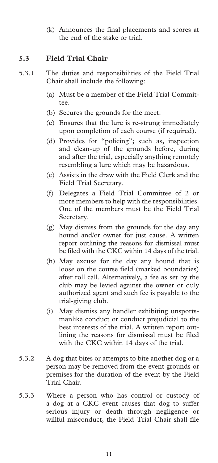(k) Announces the final placements and scores at the end of the stake or trial.

### **5.3 Field Trial Chair**

- 5.3.1 The duties and responsibilities of the Field Trial Chair shall include the following:
	- (a) Must be a member of the Field Trial Committee.
	- (b) Secures the grounds for the meet.
	- (c) Ensures that the lure is re-strung immediately upon completion of each course (if required).
	- (d) Provides for "policing"; such as, inspection and clean-up of the grounds before, during and after the trial, especially anything remotely resembling a lure which may be hazardous.
	- (e) Assists in the draw with the Field Clerk and the Field Trial Secretary.
	- (f) Delegates a Field Trial Committee of 2 or more members to help with the responsibilities. One of the members must be the Field Trial Secretary.
	- (g) May dismiss from the grounds for the day any hound and/or owner for just cause. A written report outlining the reasons for dismissal must be filed with the CKC within 14 days of the trial.
	- (h) May excuse for the day any hound that is loose on the course field (marked boundaries) after roll call. Alternatively, a fee as set by the club may be levied against the owner or duly authorized agent and such fee is payable to the trial-giving club.
	- (i) May dismiss any handler exhibiting unsportsmanlike conduct or conduct prejudicial to the best interests of the trial. A written report outlining the reasons for dismissal must be filed with the CKC within 14 days of the trial.
- 5.3.2 A dog that bites or attempts to bite another dog or a person may be removed from the event grounds or premises for the duration of the event by the Field Trial Chair.
- 5.3.3 Where a person who has control or custody of a dog at a CKC event causes that dog to suffer serious injury or death through negligence or willful misconduct, the Field Trial Chair shall file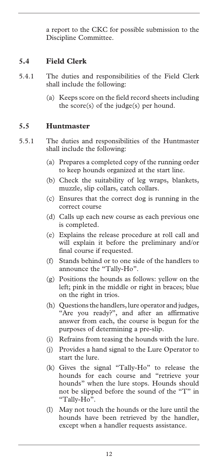a report to the CKC for possible submission to the Discipline Committee.

### **5.4 Field Clerk**

- 5.4.1 The duties and responsibilities of the Field Clerk shall include the following:
	- (a) Keeps score on the field record sheets including the score(s) of the judge(s) per hound.

### **5.5 Huntmaster**

- 5.5.1 The duties and responsibilities of the Huntmaster shall include the following:
	- (a) Prepares a completed copy of the running order to keep hounds organized at the start line.
	- (b) Check the suitability of leg wraps, blankets, muzzle, slip collars, catch collars.
	- (c) Ensures that the correct dog is running in the correct course
	- (d) Calls up each new course as each previous one is completed.
	- (e) Explains the release procedure at roll call and will explain it before the preliminary and/or final course if requested.
	- (f) Stands behind or to one side of the handlers to announce the "Tally-Ho".
	- (g) Positions the hounds as follows: yellow on the left; pink in the middle or right in braces; blue on the right in trios.
	- (h) Questions the handlers, lure operator and judges, "Are you ready?", and after an affirmative answer from each, the course is begun for the purposes of determining a pre-slip.
	- (i) Refrains from teasing the hounds with the lure.
	- (j) Provides a hand signal to the Lure Operator to start the lure.
	- (k) Gives the signal "Tally-Ho" to release the hounds for each course and "retrieve your hounds" when the lure stops. Hounds should not be slipped before the sound of the "T" in "Tally-Ho".
	- (l) May not touch the hounds or the lure until the hounds have been retrieved by the handler, except when a handler requests assistance.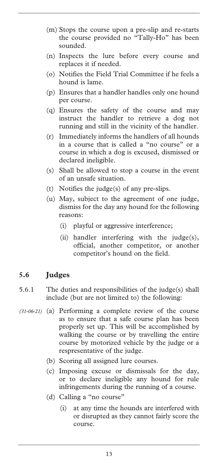- (m) Stops the course upon a pre-slip and re-starts the course provided no "Tally-Ho" has been sounded.
- (n) Inspects the lure before every course and replaces it if needed.
- (o) Notifies the Field Trial Committee if he feels a hound is lame.
- (p) Ensures that a handler handles only one hound per course.
- (q) Ensures the safety of the course and may instruct the handler to retrieve a dog not running and still in the vicinity of the handler.
- (r) Immediately informs the handlers of all hounds in a course that is called a "no course" or a course in which a dog is excused, dismissed or declared ineligible.
- (s) Shall be allowed to stop a course in the event of an unsafe situation.
- (t) Notifies the judge(s) of any pre-slips.
- (u) May, subject to the agreement of one judge, dismiss for the day any hound for the following reasons:
	- (i) playful or aggressive interference;
	- (ii) handler interfering with the judge(s), official, another competitor, or another competitor's hound on the field.

### **5.6 Judges**

- 5.6.1 The duties and responsibilities of the judge(s) shall include (but are not limited to) the following:
- (a) Performing a complete review of the course *(31-06-21)* as to ensure that a safe course plan has been properly set up. This will be accomplished by walking the course or by travelling the entire course by motorized vehicle by the judge or a respresentative of the judge.
	- (b) Scoring all assigned lure courses.
	- (c) Imposing excuse or dismissals for the day, or to declare ineligible any hound for rule infringements during the running of a course.
	- (d) Calling a "no course"
		- (i) at any time the hounds are interfered with or disrupted as they cannot fairly score the course.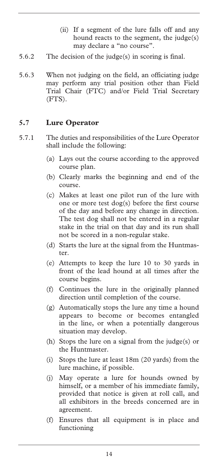- (ii) If a segment of the lure falls off and any hound reacts to the segment, the judge(s) may declare a "no course".
- 5.6.2 The decision of the judge(s) in scoring is final.
- 5.6.3 When not judging on the field, an officiating judge may perform any trial position other than Field Trial Chair (FTC) and/or Field Trial Secretary (FTS).

### **5.7 Lure Operator**

- 5.7.1 The duties and responsibilities of the Lure Operator shall include the following:
	- (a) Lays out the course according to the approved course plan.
	- (b) Clearly marks the beginning and end of the course.
	- (c) Makes at least one pilot run of the lure with one or more test dog(s) before the first course of the day and before any change in direction. The test dog shall not be entered in a regular stake in the trial on that day and its run shall not be scored in a non-regular stake.
	- (d) Starts the lure at the signal from the Huntmaster.
	- (e) Attempts to keep the lure 10 to 30 yards in front of the lead hound at all times after the course begins.
	- (f) Continues the lure in the originally planned direction until completion of the course.
	- (g) Automatically stops the lure any time a hound appears to become or becomes entangled in the line, or when a potentially dangerous situation may develop.
	- (h) Stops the lure on a signal from the judge(s) or the Huntmaster.
	- (i) Stops the lure at least 18m (20 yards) from the lure machine, if possible.
	- (j) May operate a lure for hounds owned by himself, or a member of his immediate family, provided that notice is given at roll call, and all exhibitors in the breeds concerned are in agreement.
	- (f) Ensures that all equipment is in place and functioning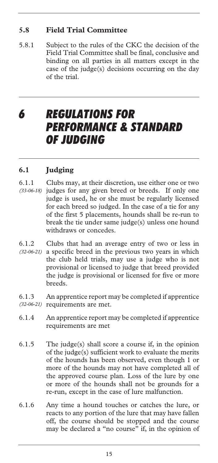### **5.8 Field Trial Committee**

5.8.1 Subject to the rules of the CKC the decision of the Field Trial Committee shall be final, conclusive and binding on all parties in all matters except in the case of the judge(s) decisions occurring on the day of the trial.

### *6 REGULATIONS FOR*  **PERFORMANCE & STANDARD** *OF JUDGING*

### **6.1 Judging**

- 6.1.1 Clubs may, at their discretion, use either one or two judges for any given breed or breeds. If only one *(33-06-18)*  judge is used, he or she must be regularly licensed for each breed so judged. In the case of a tie for any of the first 5 placements, hounds shall be re-run to break the tie under same judge(s) unless one hound withdraws or concedes.
- 6.1.2 Clubs that had an average entry of two or less in (32-06-21) a specific breed in the previous two years in which the club held trials, may use a judge who is not provisional or licensed to judge that breed provided the judge is provisional or licensed for five or more breeds.

6.1.3 An apprentice report may be completed if apprentice (32-06-21) requirements are met.

- 6.1.4 An apprentice report may be completed if apprentice requirements are met
- 6.1.5 The judge(s) shall score a course if, in the opinion of the judge(s) sufficient work to evaluate the merits of the hounds has been observed, even though 1 or more of the hounds may not have completed all of the approved course plan. Loss of the lure by one or more of the hounds shall not be grounds for a re-run, except in the case of lure malfunction.
- 6.1.6 Any time a hound touches or catches the lure, or reacts to any portion of the lure that may have fallen off, the course should be stopped and the course may be declared a "no course" if, in the opinion of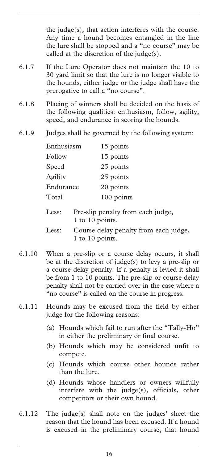the judge(s), that action interferes with the course. Any time a hound becomes entangled in the line the lure shall be stopped and a "no course" may be called at the discretion of the judge(s).

- 6.1.7 If the Lure Operator does not maintain the 10 to 30 yard limit so that the lure is no longer visible to the hounds, either judge or the judge shall have the prerogative to call a "no course".
- 6.1.8 Placing of winners shall be decided on the basis of the following qualities: enthusiasm, follow, agility, speed, and endurance in scoring the hounds.
- 6.1.9 Judges shall be governed by the following system:

| Enthusiasm | 15 points  |
|------------|------------|
| Follow     | 15 points  |
| Speed      | 25 points  |
| Agility    | 25 points  |
| Endurance  | 20 points  |
| Total      | 100 points |
|            |            |

Less: Pre-slip penalty from each judge, 1 to 10 points.

- Less: Course delay penalty from each judge, 1 to 10 points.
- 6.1.10 When a pre-slip or a course delay occurs, it shall be at the discretion of judge(s) to levy a pre-slip or a course delay penalty. If a penalty is levied it shall be from 1 to 10 points. The pre-slip or course delay penalty shall not be carried over in the case where a "no course" is called on the course in progress.
- 6.1.11 Hounds may be excused from the field by either judge for the following reasons:
	- (a) Hounds which fail to run after the "Tally-Ho" in either the preliminary or final course.
	- (b) Hounds which may be considered unfit to compete.
	- (c) Hounds which course other hounds rather than the lure.
	- (d) Hounds whose handlers or owners willfully interfere with the judge(s), officials, other competitors or their own hound.
- 6.1.12 The judge(s) shall note on the judges' sheet the reason that the hound has been excused. If a hound is excused in the preliminary course, that hound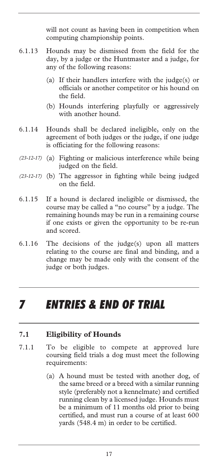will not count as having been in competition when computing championship points.

- 6.1.13 Hounds may be dismissed from the field for the day, by a judge or the Huntmaster and a judge, for any of the following reasons:
	- (a) If their handlers interfere with the judge(s) or officials or another competitor or his hound on the field.
	- (b) Hounds interfering playfully or aggressively with another hound.
- 6.1.14 Hounds shall be declared ineligible, only on the agreement of both judges or the judge, if one judge is officiating for the following reasons:
- (a) Fighting or malicious interference while being *(23-12-17)*  judged on the field.
- (23-12-17) (b) The aggressor in fighting while being judged on the field.
- 6.1.15 If a hound is declared ineligible or dismissed, the course may be called a "no course" by a judge. The remaining hounds may be run in a remaining course if one exists or given the opportunity to be re-run and scored.
- 6.1.16 The decisions of the judge(s) upon all matters relating to the course are final and binding, and a change may be made only with the consent of the judge or both judges.

### *7 ENTRIES & END OF TRIAL*

#### **7.1 Eligibility of Hounds**

- 7.1.1 To be eligible to compete at approved lure coursing field trials a dog must meet the following requirements:
	- (a) A hound must be tested with another dog, of the same breed or a breed with a similar running style (preferably not a kennelmate) and certified running clean by a licensed judge. Hounds must be a minimum of 11 months old prior to being certified, and must run a course of at least 600 yards (548.4 m) in order to be certified.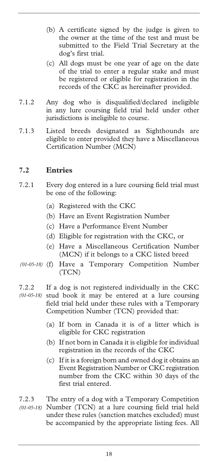- (b) A certificate signed by the judge is given to the owner at the time of the test and must be submitted to the Field Trial Secretary at the dog's first trial.
- (c) All dogs must be one year of age on the date of the trial to enter a regular stake and must be registered or eligible for registration in the records of the CKC as hereinafter provided.
- 7.1.2 Any dog who is disqualified/declared ineligible in any lure coursing field trial held under other jurisdictions is ineligible to course.
- 7.1.3 Listed breeds designated as Sighthounds are eligible to enter provided they have a Miscellaneous Certification Number (MCN)

### **7.2 Entries**

- 7.2.1 Every dog entered in a lure coursing field trial must be one of the following:
	- (a) Registered with the CKC
	- (b) Have an Event Registration Number
	- (c) Have a Performance Event Number
	- (d) Eligible for registration with the CKC, or
	- (e) Have a Miscellaneous Certification Number (MCN) if it belongs to a CKC listed breed
- (f) Have a Temporary Competition Number *(01-05-18)*  (TCN)
- 7.2.2 If a dog is not registered individually in the CKC (01-05-18) stud book it may be entered at a lure coursing field trial held under these rules with a Temporary Competition Number (TCN) provided that:
	- (a) If born in Canada it is of a litter which is eligible for CKC registration
	- (b) If not born in Canada it is eligible for individual registration in the records of the CKC
	- (c) If it is a foreign born and owned dog it obtains an Event Registration Number or CKC registration number from the CKC within 30 days of the first trial entered.
- 7.2.3 The entry of a dog with a Temporary Competition Number (TCN) at a lure coursing field trial held *(01-05-18)* under these rules (sanction matches excluded) must be accompanied by the appropriate listing fees. All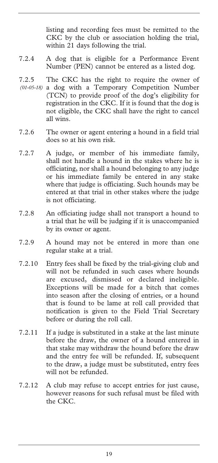listing and recording fees must be remitted to the CKC by the club or association holding the trial, within 21 days following the trial.

- 7.2.4 A dog that is eligible for a Performance Event Number (PEN) cannot be entered as a listed dog.
- 7.2.5 The CKC has the right to require the owner of a dog with a Temporary Competition Number *(01-05-18)* (TCN) to provide proof of the dog's eligibility for registration in the CKC. If it is found that the dog is not eligible, the CKC shall have the right to cancel all wins.
- 7.2.6 The owner or agent entering a hound in a field trial does so at his own risk.
- 7.2.7 A judge, or member of his immediate family, shall not handle a hound in the stakes where he is officiating, nor shall a hound belonging to any judge or his immediate family be entered in any stake where that judge is officiating. Such hounds may be entered at that trial in other stakes where the judge is not officiating.
- 7.2.8 An officiating judge shall not transport a hound to a trial that he will be judging if it is unaccompanied by its owner or agent.
- 7.2.9 A hound may not be entered in more than one regular stake at a trial.
- 7.2.10 Entry fees shall be fixed by the trial-giving club and will not be refunded in such cases where hounds are excused, dismissed or declared ineligible. Exceptions will be made for a bitch that comes into season after the closing of entries, or a hound that is found to be lame at roll call provided that notification is given to the Field Trial Secretary before or during the roll call.
- 7.2.11 If a judge is substituted in a stake at the last minute before the draw, the owner of a hound entered in that stake may withdraw the hound before the draw and the entry fee will be refunded. If, subsequent to the draw, a judge must be substituted, entry fees will not be refunded.
- 7.2.12 A club may refuse to accept entries for just cause, however reasons for such refusal must be filed with the CKC.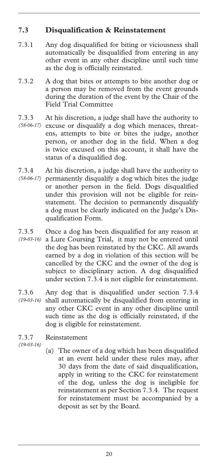### **7.3 Disqualification & Reinstatement**

- 7.3.1 Any dog disqualified for biting or viciousness shall automatically be disqualified from entering in any other event in any other discipline until such time as the dog is officially reinstated.
- 7.3.2 A dog that bites or attempts to bite another dog or a person may be removed from the event grounds during the duration of the event by the Chair of the Field Trial Committee
- 7.3.3 At his discretion, a judge shall have the authority to
- (58-06-17) excuse or disqualify a dog which menaces, threatens, attempts to bite or bites the judge, another person, or another dog in the field. When a dog is twice excused on this account, it shall have the status of a disqualified dog.
- 7.3.4 At his discretion, a judge shall have the authority to permanently disqualify a dog which bites the judge *(58-06-17)*  or another person in the field. Dogs disqualified under this provision will not be eligible for reinstatement. The decision to permanently disqualify a dog must be clearly indicated on the Judge's Disqualification Form.
- 7.3.5 Once a dog has been disqualified for any reason at a Lure Coursing Trial, it may not be entered until *(19-03-16)*  the dog has been reinstated by the CKC. All awards earned by a dog in violation of this section will be cancelled by the CKC and the owner of the dog is subject to disciplinary action. A dog disqualified under section 7.3.4 is not eligible for reinstatement.
- 7.3.6 Any dog that is disqualified under section 7.3.4 shall automatically be disqualified from entering in *(19-03-16)*  any other CKC event in any other discipline until such time as the dog is officially reinstated, if the dog is eligible for reinstatement.

7.3.7 Reinstatement *(19-03-16)* 

(a) The owner of a dog which has been disqualified at an event held under these rules may, after 30 days from the date of said disqualification, apply in writing to the CKC for reinstatement of the dog, unless the dog is ineligible for reinstatement as per Section 7.3.4. The request for reinstatement must be accompanied by a deposit as set by the Board.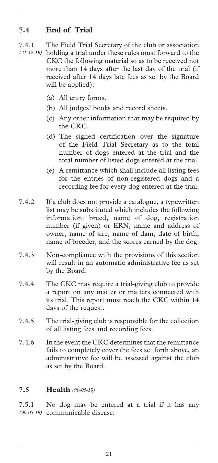### **7.4 End of Trial**

- 7.4.1 The Field Trial Secretary of the club or association (21-12-19) holding a trial under these rules must forward to the CKC the following material so as to be received not more than 14 days after the last day of the trial (if received after 14 days late fees as set by the Board will be applied):
	- (a) All entry forms.
	- (b) All judges' books and record sheets.
	- (c) Any other information that may be required by the CKC.
	- (d) The signed certification over the signature of the Field Trial Secretary as to the total number of dogs entered at the trial and the total number of listed dogs entered at the trial.
	- (e) A remittance which shall include all listing fees for the entries of non-registered dogs and a recording fee for every dog entered at the trial.
- 7.4.2 If a club does not provide a catalogue, a typewritten list may be substituted which includes the following information: breed, name of dog, registration number (if given) or ERN, name and address of owner, name of sire, name of dam, date of birth, name of breeder, and the scores earned by the dog.
- 7.4.3 Non-compliance with the provisions of this section will result in an automatic administrative fee as set by the Board.
- 7.4.4 The CKC may require a trial-giving club to provide a report on any matter or matters connected with its trial. This report must reach the CKC within 14 days of the request.
- 7.4.5 The trial-giving club is responsible for the collection of all listing fees and recording fees.
- 7.4.6 In the event the CKC determines that the remittance fails to completely cover the fees set forth above, an administrative fee will be assessed against the club as set by the Board.

### **7.5 Health** *(90-05-19)*

7.5.1 No dog may be entered at a trial if it has any communicable disease. *(90-05-19)*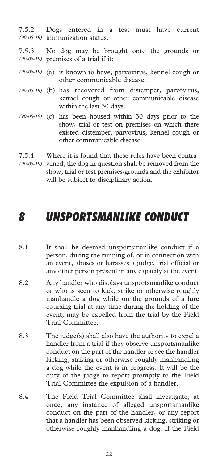7.5.2 Dogs entered in a test must have current immunization status. *(90-05-19)* 

- 7.5.3 No dog may be brought onto the grounds or premises of a trial if it: *(90-05-19)*
- (90-05-19) (a) is known to have, parvovirus, kennel cough or other communicable disease.
- (b) has recovered from distemper, parvovirus, *(90-05-19)*  kennel cough or other communicable disease within the last 30 days.
- (90-05-19) (c) has been housed within 30 days prior to the show, trial or test on premises on which there existed distemper, parvovirus, kennel cough or other communicable disease.
- 7.5.4 Where it is found that these rules have been contra-(90-05-19) vened, the dog in question shall be removed from the show, trial or test premises/grounds and the exhibitor will be subject to disciplinary action.

### *8 UNSPORTSMANLIKE CONDUCT*

- 8.1 It shall be deemed unsportsmanlike conduct if a person, during the running of, or in connection with an event, abuses or harasses a judge, trial official or any other person present in any capacity at the event.
- 8.2 Any handler who displays unsportsmanlike conduct or who is seen to kick, strike or otherwise roughly manhandle a dog while on the grounds of a lure coursing trial at any time during the holding of the event, may be expelled from the trial by the Field Trial Committee.
- 8.3 The judge(s) shall also have the authority to expel a handler from a trial if they observe unsportsmanlike conduct on the part of the handler or see the handler kicking, striking or otherwise roughly manhandling a dog while the event is in progress. It will be the duty of the judge to report promptly to the Field Trial Committee the expulsion of a handler.
- 8.4 The Field Trial Committee shall investigate, at once, any instance of alleged unsportsmanlike conduct on the part of the handler, or any report that a handler has been observed kicking, striking or otherwise roughly manhandling a dog. If the Field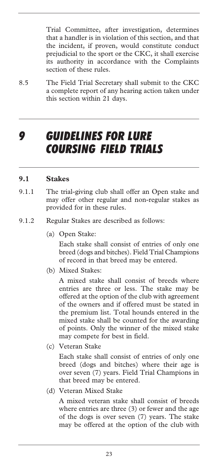Trial Committee, after investigation, determines that a handler is in violation of this section, and that the incident, if proven, would constitute conduct prejudicial to the sport or the CKC, it shall exercise its authority in accordance with the Complaints section of these rules.

8.5 The Field Trial Secretary shall submit to the CKC a complete report of any hearing action taken under this section within 21 days.

### *9 GUIDELINES FOR LURE COURSING FIELD TRIALS*

#### **9.1 Stakes**

- 9.1.1 The trial-giving club shall offer an Open stake and may offer other regular and non-regular stakes as provided for in these rules.
- 9.1.2 Regular Stakes are described as follows:
	- (a) Open Stake:

 Each stake shall consist of entries of only one breed (dogs and bitches). Field Trial Champions of record in that breed may be entered.

(b) Mixed Stakes:

 A mixed stake shall consist of breeds where entries are three or less. The stake may be offered at the option of the club with agreement of the owners and if offered must be stated in the premium list. Total hounds entered in the mixed stake shall be counted for the awarding of points. Only the winner of the mixed stake may compete for best in field.

(c) Veteran Stake

 Each stake shall consist of entries of only one breed (dogs and bitches) where their age is over seven (7) years. Field Trial Champions in that breed may be entered.

(d) Veteran Mixed Stake

 A mixed veteran stake shall consist of breeds where entries are three (3) or fewer and the age of the dogs is over seven (7) years. The stake may be offered at the option of the club with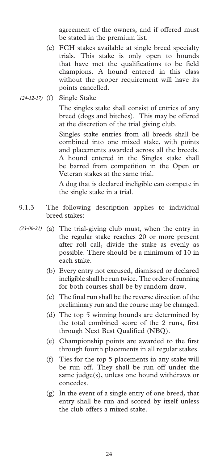agreement of the owners, and if offered must be stated in the premium list.

- (e) FCH stakes available at single breed specialty trials. This stake is only open to hounds that have met the qualifications to be field champions. A hound entered in this class without the proper requirement will have its points cancelled.
- Single Stake *(24-12-17)*

 The singles stake shall consist of entries of any breed (dogs and bitches). This may be offered at the discretion of the trial giving club.

 Singles stake entries from all breeds shall be combined into one mixed stake, with points and placements awarded across all the breeds. A hound entered in the Singles stake shall be barred from competition in the Open or Veteran stakes at the same trial.

 A dog that is declared ineligible can compete in the single stake in a trial.

- 9.1.3 The following description applies to individual breed stakes:
- (a) The trial-giving club must, when the entry in *(33-06-21)* the regular stake reaches 20 or more present after roll call, divide the stake as evenly as possible. There should be a minimum of 10 in each stake.
	- (b) Every entry not excused, dismissed or declared ineligible shall be run twice. The order of running for both courses shall be by random draw.
	- (c) The final run shall be the reverse direction of the preliminary run and the course may be changed.
	- (d) The top 5 winning hounds are determined by the total combined score of the 2 runs, first through Next Best Qualified (NBQ).
	- (e) Championship points are awarded to the first through fourth placements in all regular stakes.
	- (f) Ties for the top 5 placements in any stake will be run off. They shall be run off under the same judge(s), unless one hound withdraws or concedes.
	- (g) In the event of a single entry of one breed, that entry shall be run and scored by itself unless the club offers a mixed stake.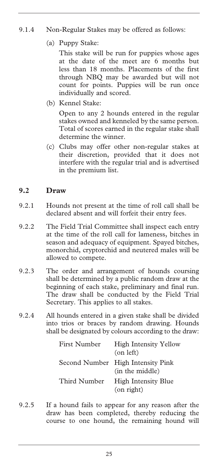### 9.1.4 Non-Regular Stakes may be offered as follows:

(a) Puppy Stake:

 This stake will be run for puppies whose ages at the date of the meet are 6 months but less than 18 months. Placements of the first through NBQ may be awarded but will not count for points. Puppies will be run once individually and scored.

(b) Kennel Stake:

 Open to any 2 hounds entered in the regular stakes owned and kenneled by the same person. Total of scores earned in the regular stake shall determine the winner.

(c) Clubs may offer other non-regular stakes at their discretion, provided that it does not interfere with the regular trial and is advertised in the premium list.

### **9.2 Draw**

- 9.2.1 Hounds not present at the time of roll call shall be declared absent and will forfeit their entry fees.
- 9.2.2 The Field Trial Committee shall inspect each entry at the time of the roll call for lameness, bitches in season and adequacy of equipment. Spayed bitches, monorchid, cryptorchid and neutered males will be allowed to compete.
- 9.2.3 The order and arrangement of hounds coursing shall be determined by a public random draw at the beginning of each stake, preliminary and final run. The draw shall be conducted by the Field Trial Secretary. This applies to all stakes.
- 9.2.4 All hounds entered in a given stake shall be divided into trios or braces by random drawing. Hounds shall be designated by colours according to the draw:

| First Number | <b>High Intensity Yellow</b><br>$($ on left $)$      |
|--------------|------------------------------------------------------|
|              | Second Number High Intensity Pink<br>(in the middle) |
| Third Number | High Intensity Blue<br>(on right)                    |

9.2.5 If a hound fails to appear for any reason after the draw has been completed, thereby reducing the course to one hound, the remaining hound will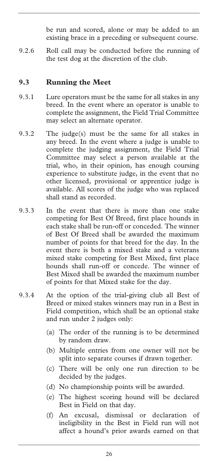be run and scored, alone or may be added to an existing brace in a preceding or subsequent course.

9.2.6 Roll call may be conducted before the running of the test dog at the discretion of the club.

### **9.3 Running the Meet**

- 9.3.1 Lure operators must be the same for all stakes in any breed. In the event where an operator is unable to complete the assignment, the Field Trial Committee may select an alternate operator.
- 9.3.2 The judge(s) must be the same for all stakes in any breed. In the event where a judge is unable to complete the judging assignment, the Field Trial Committee may select a person available at the trial, who, in their opinion, has enough coursing experience to substitute judge, in the event that no other licensed, provisional or apprentice judge is available. All scores of the judge who was replaced shall stand as recorded.
- 9.3.3 In the event that there is more than one stake competing for Best Of Breed, first place hounds in each stake shall be run-off or conceded. The winner of Best Of Breed shall be awarded the maximum number of points for that breed for the day. In the event there is both a mixed stake and a veterans mixed stake competing for Best Mixed, first place hounds shall run-off or concede. The winner of Best Mixed shall be awarded the maximum number of points for that Mixed stake for the day.
- 9.3.4 At the option of the trial-giving club all Best of Breed or mixed stakes winners may run in a Best in Field competition, which shall be an optional stake and run under 2 judges only:
	- (a) The order of the running is to be determined by random draw.
	- (b) Multiple entries from one owner will not be split into separate courses if drawn together.
	- (c) There will be only one run direction to be decided by the judges.
	- (d) No championship points will be awarded.
	- (e) The highest scoring hound will be declared Best in Field on that day.
	- (f) An excusal, dismissal or declaration of ineligibility in the Best in Field run will not affect a hound's prior awards earned on that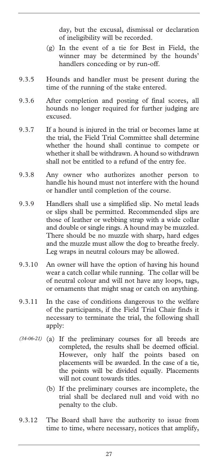day, but the excusal, dismissal or declaration of ineligibility will be recorded.

- (g) In the event of a tie for Best in Field, the winner may be determined by the hounds' handlers conceding or by run-off.
- 9.3.5 Hounds and handler must be present during the time of the running of the stake entered.
- 9.3.6 After completion and posting of final scores, all hounds no longer required for further judging are excused.
- 9.3.7 If a hound is injured in the trial or becomes lame at the trial, the Field Trial Committee shall determine whether the hound shall continue to compete or whether it shall be withdrawn. A hound so withdrawn shall not be entitled to a refund of the entry fee.
- 9.3.8 Any owner who authorizes another person to handle his hound must not interfere with the hound or handler until completion of the course.
- 9.3.9 Handlers shall use a simplified slip. No metal leads or slips shall be permitted. Recommended slips are those of leather or webbing strap with a wide collar and double or single rings. A hound may be muzzled. There should be no muzzle with sharp, hard edges and the muzzle must allow the dog to breathe freely. Leg wraps in neutral colours may be allowed.
- 9.3.10 An owner will have the option of having his hound wear a catch collar while running. The collar will be of neutral colour and will not have any loops, tags, or ornaments that might snag or catch on anything.
- 9.3.11 In the case of conditions dangerous to the welfare of the participants, if the Field Trial Chair finds it necessary to terminate the trial, the following shall apply:
- (34-06-21) (a) If the preliminary courses for all breeds are completed, the results shall be deemed official. However, only half the points based on placements will be awarded. In the case of a tie, the points will be divided equally. Placements will not count towards titles.
	- (b) If the preliminary courses are incomplete, the trial shall be declared null and void with no penalty to the club.
- 9.3.12 The Board shall have the authority to issue from time to time, where necessary, notices that amplify,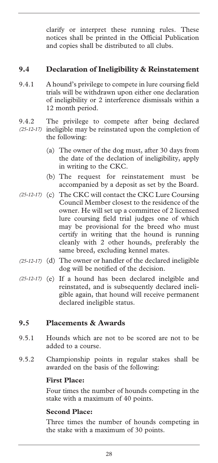clarify or interpret these running rules. These notices shall be printed in the Official Publication and copies shall be distributed to all clubs.

### **9.4 Declaration of Ineligibility & Reinstatement**

- 9.4.1 A hound's privilege to compete in lure coursing field trials will be withdrawn upon either one declaration of ineligibility or 2 interference dismissals within a 12 month period.
- 9.4.2 The privilege to compete after being declared (25-12-17) ineligible may be reinstated upon the completion of the following:
	- (a) The owner of the dog must, after 30 days from the date of the declation of ineligibility, apply in writing to the CKC.
	- (b) The request for reinstatement must be accompanied by a deposit as set by the Board.
- (25-12-17) (c) The CKC will contact the CKC Lure Coursing Council Member closest to the residence of the owner. He will set up a committee of 2 licensed lure coursing field trial judges one of which may be provisional for the breed who must certify in writing that the hound is running cleanly with 2 other hounds, preferably the same breed, excluding kennel mates.
- (d) The owner or handler of the declared ineligible *(25-12-17)*  dog will be notified of the decision.
- (25-12-17) (e) If a hound has been declared inelgible and reinstated, and is subsequently declared ineligible again, that hound will receive permanent declared ineligible status.

### **9.5 Placements & Awards**

- 9.5.1 Hounds which are not to be scored are not to be added to a course.
- 9.5.2 Championship points in regular stakes shall be awarded on the basis of the following:

#### **First Place:**

Four times the number of hounds competing in the stake with a maximum of 40 points.

### **Second Place:**

Three times the number of hounds competing in the stake with a maximum of 30 points.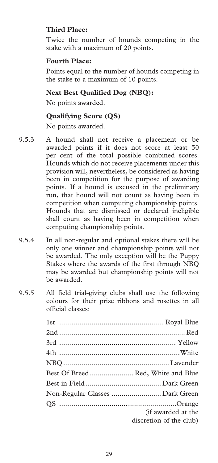### **Third Place:**

Twice the number of hounds competing in the stake with a maximum of 20 points.

### **Fourth Place:**

Points equal to the number of hounds competing in the stake to a maximum of 10 points.

### **Next Best Qualified Dog (NBQ):**

No points awarded.

### **Qualifying Score (QS)**

No points awarded.

- 9.5.3 A hound shall not receive a placement or be awarded points if it does not score at least 50 per cent of the total possible combined scores. Hounds which do not receive placements under this provision will, nevertheless, be considered as having been in competition for the purpose of awarding points. If a hound is excused in the preliminary run, that hound will not count as having been in competition when computing championship points. Hounds that are dismissed or declared ineligible shall count as having been in competition when computing championship points.
- 9.5.4 In all non-regular and optional stakes there will be only one winner and championship points will not be awarded. The only exception will be the Puppy Stakes where the awards of the first through NBQ may be awarded but championship points will not be awarded.
- 9.5.5 All field trial-giving clubs shall use the following colours for their prize ribbons and rosettes in all official classes:

| Best Of Breed Red, White and Blue |  |
|-----------------------------------|--|
|                                   |  |
| Non-Regular Classes Dark Green    |  |
|                                   |  |
| (if awarded at the                |  |
| discretion of the club)           |  |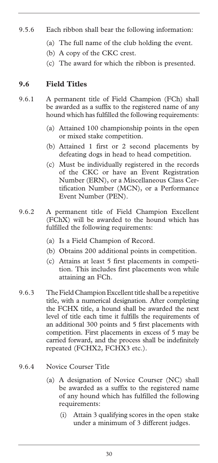- 9.5.6 Each ribbon shall bear the following information:
	- (a) The full name of the club holding the event.
	- (b) A copy of the CKC crest.
	- (c) The award for which the ribbon is presented.

### **9.6 Field Titles**

- 9.6.1 A permanent title of Field Champion (FCh) shall be awarded as a suffix to the registered name of any hound which has fulfilled the following requirements:
	- (a) Attained 100 championship points in the open or mixed stake competition.
	- (b) Attained 1 first or 2 second placements by defeating dogs in head to head competition.
	- (c) Must be individually registered in the records of the CKC or have an Event Registration Number (ERN), or a Miscellaneous Class Certification Number (MCN), or a Performance Event Number (PEN).
- 9.6.2 A permanent title of Field Champion Excellent (FChX) will be awarded to the hound which has fulfilled the following requirements:
	- (a) Is a Field Champion of Record.
	- (b) Obtains 200 additional points in competition.
	- (c) Attains at least 5 first placements in competition. This includes first placements won while attaining an FCh.
- 9.6.3 The Field Champion Excellent title shall be a repetitive title, with a numerical designation. After completing the FCHX title, a hound shall be awarded the next level of title each time it fulfills the requirements of an additional 300 points and 5 first placements with competition. First placements in excess of 5 may be carried forward, and the process shall be indefinitely repeated (FCHX2, FCHX3 etc.).

### 9.6.4 Novice Courser Title

- (a) A designation of Novice Courser (NC) shall be awarded as a suffix to the registered name of any hound which has fulfilled the following requirements:
	- (i) Attain 3 qualifying scores in the open stake under a minimum of 3 different judges.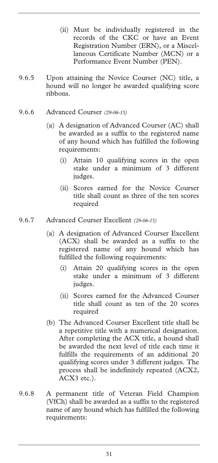- (ii) Must be individually registered in the records of the CKC or have an Event Registration Number (ERN), or a Miscellaneous Certificate Number (MCN) or a Performance Event Number (PEN).
- 9.6.5 Upon attaining the Novice Courser (NC) title, a hound will no longer be awarded qualifying score ribbons.
- 9.6.6 Advanced Courser *(29-06-15)*
	- (a) A designation of Advanced Courser (AC) shall be awarded as a suffix to the registered name of any hound which has fulfilled the following requirements:
		- (i) Attain 10 qualifying scores in the open stake under a minimum of 3 different judges.
		- (ii) Scores earned for the Novice Courser title shall count as three of the ten scores required
- 9.6.7 Advanced Courser Excellent *(29-06-15)*
	- (a) A designation of Advanced Courser Excellent (ACX) shall be awarded as a suffix to the registered name of any hound which has fulfilled the following requirements:
		- (i) Attain 20 qualifying scores in the open stake under a minimum of 3 different judges.
		- (ii) Scores earned for the Advanced Courser title shall count as ten of the 20 scores required
	- (b) The Advanced Courser Excellent title shall be a repetitive title with a numerical designation. After completing the ACX title, a hound shall be awarded the next level of title each time it fulfills the requirements of an additional 20 qualifying scores under 3 different judges. The process shall be indefinitely repeated (ACX2, ACX3 etc.).
- 9.6.8 A permanent title of Veteran Field Champion (VfCh) shall be awarded as a suffix to the registered name of any hound which has fulfilled the following requirements: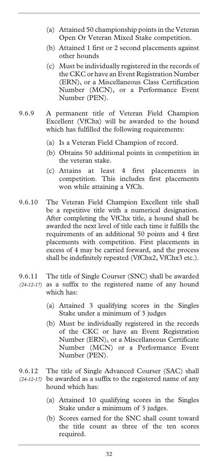- (a) Attained 50 championship points in the Veteran Open Or Veteran Mixed Stake competition.
- (b) Attained 1 first or 2 second placements against other hounds
- (c) Must be individually registered in the records of the CKC or have an Event Registration Number (ERN), or a Miscellaneous Class Certification Number (MCN), or a Performance Event Number (PEN).
- 9.6.9 A permanent title of Veteran Field Champion Excellent (VfChx) will be awarded to the hound which has fulfilled the following requirements:
	- (a) Is a Veteran Field Champion of record.
	- (b) Obtains 50 additional points in competition in the veteran stake.
	- (c) Attains at least 4 first placements in competition. This includes first placements won while attaining a VfCh.
- 9.6.10 The Veteran Field Champion Excellent title shall be a repetitive title with a numerical designation. After completing the VfChx title, a hound shall be awarded the next level of title each time it fulfills the requirements of an additional 50 points and 4 first placements with competition. First placements in excess of 4 may be carried forward, and the process shall be indefinitely repeated (VfChx2, VfChx3 etc.).
- 9.6.11 The title of Single Courser (SNC) shall be awarded (24-12-17) as a suffix to the registered name of any hound which has:
	- (a) Attained 3 qualifying scores in the Singles Stake under a minimum of 3 judges
	- (b) Must be individually registered in the records of the CKC or have an Event Registration Number (ERN), or a Miscellaneous Certificate Number (MCN) or a Performance Event Number (PEN).
- 9.6.12 The title of Single Advanced Courser (SAC) shall be awarded as a suffix to the registered name of any *(24-12-17)* hound which has:
	- (a) Attained 10 qualifying scores in the Singles Stake under a minimum of 3 judges.
	- (b) Scores earned for the SNC shall count toward the title count as three of the ten scores required.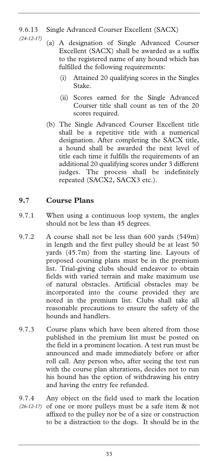### 9.6.13 Single Advanced Courser Excellent (SACX)

- *(24-12-17)* 
	- (a) A designation of Single Advanced Courser Excellent (SACX) shall be awarded as a suffix to the registered name of any hound which has fulfilled the following requirements:
		- (i) Attained 20 qualifying scores in the Singles Stake.
		- (ii) Scores earned for the Single Advanced Courser title shall count as ten of the 20 scores required.
	- (b) The Single Advanced Courser Excellent title shall be a repetitive title with a numerical designation. After completing the SACX title, a hound shall be awarded the next level of title each time it fulfills the requirements of an additional 20 qualifying scores under 3 different judges. The process shall be indefinitely repeated (SACX2, SACX3 etc.).

### **9.7 Course Plans**

- 9.7.1 When using a continuous loop system, the angles should not be less than 45 degrees.
- 9.7.2 A course shall not be less than 600 yards (549m) in length and the first pulley should be at least 50 yards (45.7m) from the starting line. Layouts of proposed coursing plans must be in the premium list. Trial-giving clubs should endeavor to obtain fields with varied terrain and make maximum use of natural obstacles. Artificial obstacles may be incorporated into the course provided they are noted in the premium list. Clubs shall take all reasonable precautions to ensure the safety of the hounds and handlers.
- 9.7.3 Course plans which have been altered from those published in the premium list must be posted on the field in a prominent location. A test run must be announced and made immediately before or after roll call. Any person who, after seeing the test run with the course plan alterations, decides not to run his hound has the option of withdrawing his entry and having the entry fee refunded.
- 9.7.4 Any object on the field used to mark the location (26-12-17) of one or more pulleys must be a safe item & not affixed to the pulley nor be of a size or construction to be a distraction to the dogs. It should be in the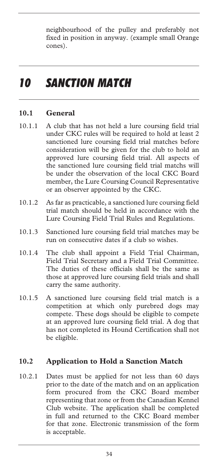neighbourhood of the pulley and preferably not fixed in position in anyway. (example small Orange cones).

# *10 SANCTION MATCH*

### **10.1 General**

- 10.1.1 A club that has not held a lure coursing field trial under CKC rules will be required to hold at least 2 sanctioned lure coursing field trial matches before consideration will be given for the club to hold an approved lure coursing field trial. All aspects of the sanctioned lure coursing field trial matchs will be under the observation of the local CKC Board member, the Lure Coursing Council Representative or an observer appointed by the CKC.
- 10.1.2 As far as practicable, a sanctioned lure coursing field trial match should be held in accordance with the Lure Coursing Field Trial Rules and Regulations.
- 10.1.3 Sanctioned lure coursing field trial matches may be run on consecutive dates if a club so wishes.
- 10.1.4 The club shall appoint a Field Trial Chairman, Field Trial Secretary and a Field Trial Committee. The duties of these officials shall be the same as those at approved lure coursing field trials and shall carry the same authority.
- 10.1.5 A sanctioned lure coursing field trial match is a competition at which only purebred dogs may compete. These dogs should be eligible to compete at an approved lure coursing field trial. A dog that has not completed its Hound Certification shall not be eligible.

### **10.2 Application to Hold a Sanction Match**

10.2.1 Dates must be applied for not less than 60 days prior to the date of the match and on an application form procured from the CKC Board member representing that zone or from the Canadian Kennel Club website. The application shall be completed in full and returned to the CKC Board member for that zone. Electronic transmission of the form is acceptable.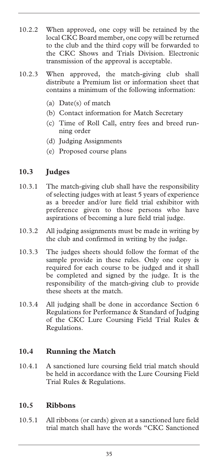- 10.2.2 When approved, one copy will be retained by the local CKC Board member, one copy will be returned to the club and the third copy will be forwarded to the CKC Shows and Trials Division. Electronic transmission of the approval is acceptable.
- 10.2.3 When approved, the match-giving club shall distribute a Premium list or information sheet that contains a minimum of the following information:
	- (a) Date(s) of match
	- (b) Contact information for Match Secretary
	- (c) Time of Roll Call, entry fees and breed running order
	- (d) Judging Assignments
	- (e) Proposed course plans

### **10.3 Judges**

- 10.3.1 The match-giving club shall have the responsibility of selecting judges with at least 5 years of experience as a breeder and/or lure field trial exhibitor with preference given to those persons who have aspirations of becoming a lure field trial judge.
- 10.3.2 All judging assignments must be made in writing by the club and confirmed in writing by the judge.
- 10.3.3 The judges sheets should follow the format of the sample provide in these rules. Only one copy is required for each course to be judged and it shall be completed and signed by the judge. It is the responsibility of the match-giving club to provide these sheets at the match.
- 10.3.4 All judging shall be done in accordance Section 6 Regulations for Performance & Standard of Judging of the CKC Lure Coursing Field Trial Rules & Regulations.

### **10.4 Running the Match**

10.4.1 A sanctioned lure coursing field trial match should be held in accordance with the Lure Coursing Field Trial Rules & Regulations.

### **10.5 Ribbons**

10.5.1 All ribbons (or cards) given at a sanctioned lure field trial match shall have the words "CKC Sanctioned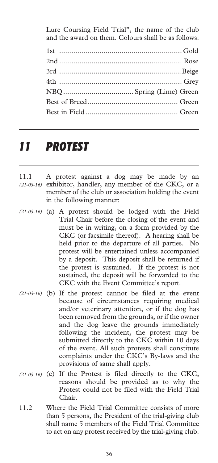Lure Coursing Field Trial", the name of the club and the award on them. Colours shall be as follows:

# *11 PROTEST*

- 11.1 A protest against a dog may be made by an (21-03-16) exhibitor, handler, any member of the CKC, or a member of the club or association holding the event in the following manner:
- (a) A protest should be lodged with the Field *(21-03-16)*  Trial Chair before the closing of the event and must be in writing, on a form provided by the CKC (or facsimile thereof). A hearing shall be held prior to the departure of all parties. No protest will be entertained unless accompanied by a deposit. This deposit shall be returned if the protest is sustained. If the protest is not sustained, the deposit will be forwarded to the CKC with the Event Committee's report.
- (21-03-16) (b) If the protest cannot be filed at the event because of circumstances requiring medical and/or veterinary attention, or if the dog has been removed from the grounds, or if the owner and the dog leave the grounds immediately following the incident, the protest may be submitted directly to the CKC within 10 days of the event. All such protests shall constitute complaints under the CKC's By-laws and the provisions of same shall apply.
- (21-03-16) (c) If the Protest is filed directly to the CKC, reasons should be provided as to why the Protest could not be filed with the Field Trial Chair.
- 11.2 Where the Field Trial Committee consists of more than 5 persons, the President of the trial-giving club shall name 5 members of the Field Trial Committee to act on any protest received by the trial-giving club.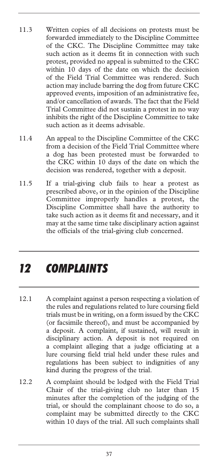- 11.3 Written copies of all decisions on protests must be forwarded immediately to the Discipline Committee of the CKC. The Discipline Committee may take such action as it deems fit in connection with such protest, provided no appeal is submitted to the CKC within 10 days of the date on which the decision of the Field Trial Committee was rendered. Such action may include barring the dog from future CKC approved events, imposition of an administrative fee, and/or cancellation of awards. The fact that the Field Trial Committee did not sustain a protest in no way inhibits the right of the Discipline Committee to take such action as it deems advisable.
- 11.4 An appeal to the Discipline Committee of the CKC from a decision of the Field Trial Committee where a dog has been protested must be forwarded to the CKC within 10 days of the date on which the decision was rendered, together with a deposit.
- 11.5 If a trial-giving club fails to hear a protest as prescribed above, or in the opinion of the Discipline Committee improperly handles a protest, the Discipline Committee shall have the authority to take such action as it deems fit and necessary, and it may at the same time take disciplinary action against the officials of the trial-giving club concerned.

# *12 COMPLAINTS*

- 12.1 A complaint against a person respecting a violation of the rules and regulations related to lure coursing field trials must be in writing, on a form issued by the CKC (or facsimile thereof), and must be accompanied by a deposit. A complaint, if sustained, will result in disciplinary action. A deposit is not required on a complaint alleging that a judge officiating at a lure coursing field trial held under these rules and regulations has been subject to indignities of any kind during the progress of the trial.
- 12.2 A complaint should be lodged with the Field Trial Chair of the trial-giving club no later than 15 minutes after the completion of the judging of the trial, or should the complainant choose to do so, a complaint may be submitted directly to the CKC within 10 days of the trial. All such complaints shall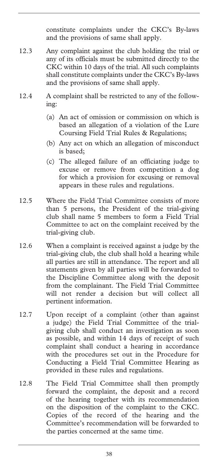constitute complaints under the CKC's By-laws and the provisions of same shall apply.

- 12.3 Any complaint against the club holding the trial or any of its officials must be submitted directly to the CKC within 10 days of the trial. All such complaints shall constitute complaints under the CKC's By-laws and the provisions of same shall apply.
- 12.4 A complaint shall be restricted to any of the following:
	- (a) An act of omission or commission on which is based an allegation of a violation of the Lure Coursing Field Trial Rules & Regulations;
	- (b) Any act on which an allegation of misconduct is based;
	- (c) The alleged failure of an officiating judge to excuse or remove from competition a dog for which a provision for excusing or removal appears in these rules and regulations.
- 12.5 Where the Field Trial Committee consists of more than 5 persons, the President of the trial-giving club shall name 5 members to form a Field Trial Committee to act on the complaint received by the trial-giving club.
- 12.6 When a complaint is received against a judge by the trial-giving club, the club shall hold a hearing while all parties are still in attendance. The report and all statements given by all parties will be forwarded to the Discipline Committee along with the deposit from the complainant. The Field Trial Committee will not render a decision but will collect all pertinent information.
- 12.7 Upon receipt of a complaint (other than against a judge) the Field Trial Committee of the trialgiving club shall conduct an investigation as soon as possible, and within 14 days of receipt of such complaint shall conduct a hearing in accordance with the procedures set out in the Procedure for Conducting a Field Trial Committee Hearing as provided in these rules and regulations.
- 12.8 The Field Trial Committee shall then promptly forward the complaint, the deposit and a record of the hearing together with its recommendation on the disposition of the complaint to the CKC. Copies of the record of the hearing and the Committee's recommendation will be forwarded to the parties concerned at the same time.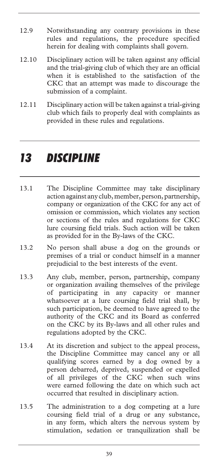- 12.9 Notwithstanding any contrary provisions in these rules and regulations, the procedure specified herein for dealing with complaints shall govern.
- 12.10 Disciplinary action will be taken against any official and the trial-giving club of which they are an official when it is established to the satisfaction of the CKC that an attempt was made to discourage the submission of a complaint.
- 12.11 Disciplinary action will be taken against a trial-giving club which fails to properly deal with complaints as provided in these rules and regulations.

### *13 DISCIPLINE*

- 13.1 The Discipline Committee may take disciplinary action against any club, member, person, partnership, company or organization of the CKC for any act of omission or commission, which violates any section or sections of the rules and regulations for CKC lure coursing field trials. Such action will be taken as provided for in the By-laws of the CKC.
- 13.2 No person shall abuse a dog on the grounds or premises of a trial or conduct himself in a manner prejudicial to the best interests of the event.
- 13.3 Any club, member, person, partnership, company or organization availing themselves of the privilege of participating in any capacity or manner whatsoever at a lure coursing field trial shall, by such participation, be deemed to have agreed to the authority of the CKC and its Board as conferred on the CKC by its By-laws and all other rules and regulations adopted by the CKC.
- 13.4 At its discretion and subject to the appeal process, the Discipline Committee may cancel any or all qualifying scores earned by a dog owned by a person debarred, deprived, suspended or expelled of all privileges of the CKC when such wins were earned following the date on which such act occurred that resulted in disciplinary action.
- 13.5 The administration to a dog competing at a lure coursing field trial of a drug or any substance, in any form, which alters the nervous system by stimulation, sedation or tranquilization shall be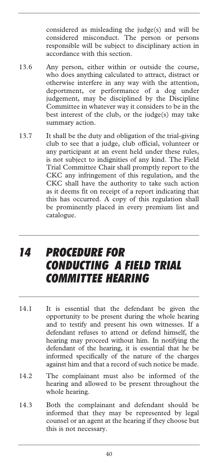considered as misleading the judge(s) and will be considered misconduct. The person or persons responsible will be subject to disciplinary action in accordance with this section.

- 13.6 Any person, either within or outside the course, who does anything calculated to attract, distract or otherwise interfere in any way with the attention, deportment, or performance of a dog under judgement, may be disciplined by the Discipline Committee in whatever way it considers to be in the best interest of the club, or the judge(s) may take summary action.
- 13.7 It shall be the duty and obligation of the trial-giving club to see that a judge, club official, volunteer or any participant at an event held under these rules, is not subject to indignities of any kind. The Field Trial Committee Chair shall promptly report to the CKC any infringement of this regulation, and the CKC shall have the authority to take such action as it deems fit on receipt of a report indicating that this has occurred. A copy of this regulation shall be prominently placed in every premium list and catalogue.

### *14 PROCEDURE FOR CONDUCTING A FIELD TRIAL COMMITTEE HEARING*

- 14.1 It is essential that the defendant be given the opportunity to be present during the whole hearing and to testify and present his own witnesses. If a defendant refuses to attend or defend himself, the hearing may proceed without him. In notifying the defendant of the hearing, it is essential that he be informed specifically of the nature of the charges against him and that a record of such notice be made.
- 14.2 The complainant must also be informed of the hearing and allowed to be present throughout the whole hearing.
- 14.3 Both the complainant and defendant should be informed that they may be represented by legal counsel or an agent at the hearing if they choose but this is not necessary.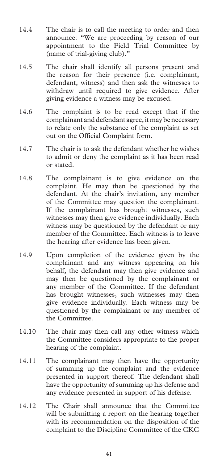- 14.4 The chair is to call the meeting to order and then announce: "We are proceeding by reason of our appointment to the Field Trial Committee by (name of trial-giving club)."
- 14.5 The chair shall identify all persons present and the reason for their presence (i.e. complainant, defendant, witness) and then ask the witnesses to withdraw until required to give evidence. After giving evidence a witness may be excused.
- 14.6 The complaint is to be read except that if the complainant and defendant agree, it may be necessary to relate only the substance of the complaint as set out on the Official Complaint form.
- 14.7 The chair is to ask the defendant whether he wishes to admit or deny the complaint as it has been read or stated.
- 14.8 The complainant is to give evidence on the complaint. He may then be questioned by the defendant. At the chair's invitation, any member of the Committee may question the complainant. If the complainant has brought witnesses, such witnesses may then give evidence individually. Each witness may be questioned by the defendant or any member of the Committee. Each witness is to leave the hearing after evidence has been given.
- 14.9 Upon completion of the evidence given by the complainant and any witness appearing on his behalf, the defendant may then give evidence and may then be questioned by the complainant or any member of the Committee. If the defendant has brought witnesses, such witnesses may then give evidence individually. Each witness may be questioned by the complainant or any member of the Committee.
- 14.10 The chair may then call any other witness which the Committee considers appropriate to the proper hearing of the complaint.
- 14.11 The complainant may then have the opportunity of summing up the complaint and the evidence presented in support thereof. The defendant shall have the opportunity of summing up his defense and any evidence presented in support of his defense.
- 14.12 The Chair shall announce that the Committee will be submitting a report on the hearing together with its recommendation on the disposition of the complaint to the Discipline Committee of the CKC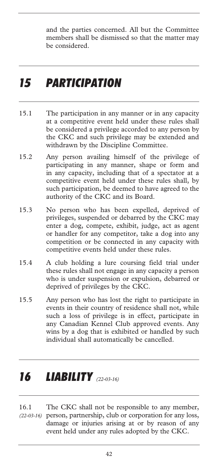and the parties concerned. All but the Committee members shall be dismissed so that the matter may be considered.

### *15 PARTICIPATION*

- 15.1 The participation in any manner or in any capacity at a competitive event held under these rules shall be considered a privilege accorded to any person by the CKC and such privilege may be extended and withdrawn by the Discipline Committee.
- 15.2 Any person availing himself of the privilege of participating in any manner, shape or form and in any capacity, including that of a spectator at a competitive event held under these rules shall, by such participation, be deemed to have agreed to the authority of the CKC and its Board.
- 15.3 No person who has been expelled, deprived of privileges, suspended or debarred by the CKC may enter a dog, compete, exhibit, judge, act as agent or handler for any competitor, take a dog into any competition or be connected in any capacity with competitive events held under these rules.
- 15.4 A club holding a lure coursing field trial under these rules shall not engage in any capacity a person who is under suspension or expulsion, debarred or deprived of privileges by the CKC.
- 15.5 Any person who has lost the right to participate in events in their country of residence shall not, while such a loss of privilege is in effect, participate in any Canadian Kennel Club approved events. Any wins by a dog that is exhibited or handled by such individual shall automatically be cancelled.

# *16 LIABILITY (22-03-16)*

16.1 The CKC shall not be responsible to any member, person, partnership, club or corporation for any loss, *(22-03-16)* damage or injuries arising at or by reason of any event held under any rules adopted by the CKC.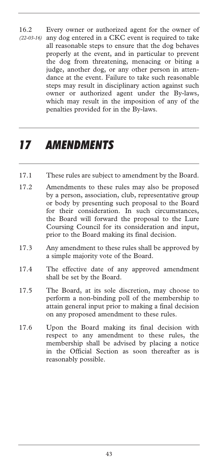16.2 Every owner or authorized agent for the owner of any dog entered in a CKC event is required to take all reasonable steps to ensure that the dog behaves properly at the event, and in particular to prevent the dog from threatening, menacing or biting a judge, another dog, or any other person in attendance at the event. Failure to take such reasonable steps may result in disciplinary action against such owner or authorized agent under the By-laws, which may result in the imposition of any of the penalties provided for in the By-laws. *(22-03-16)* 

## *17 AMENDMENTS*

- 17.1 These rules are subject to amendment by the Board.
- 17.2 Amendments to these rules may also be proposed by a person, association, club, representative group or body by presenting such proposal to the Board for their consideration. In such circumstances, the Board will forward the proposal to the Lure Coursing Council for its consideration and input, prior to the Board making its final decision.
- 17.3 Any amendment to these rules shall be approved by a simple majority vote of the Board.
- 17.4 The effective date of any approved amendment shall be set by the Board.
- 17.5 The Board, at its sole discretion, may choose to perform a non-binding poll of the membership to attain general input prior to making a final decision on any proposed amendment to these rules.
- 17.6 Upon the Board making its final decision with respect to any amendment to these rules, the membership shall be advised by placing a notice in the Official Section as soon thereafter as is reasonably possible.